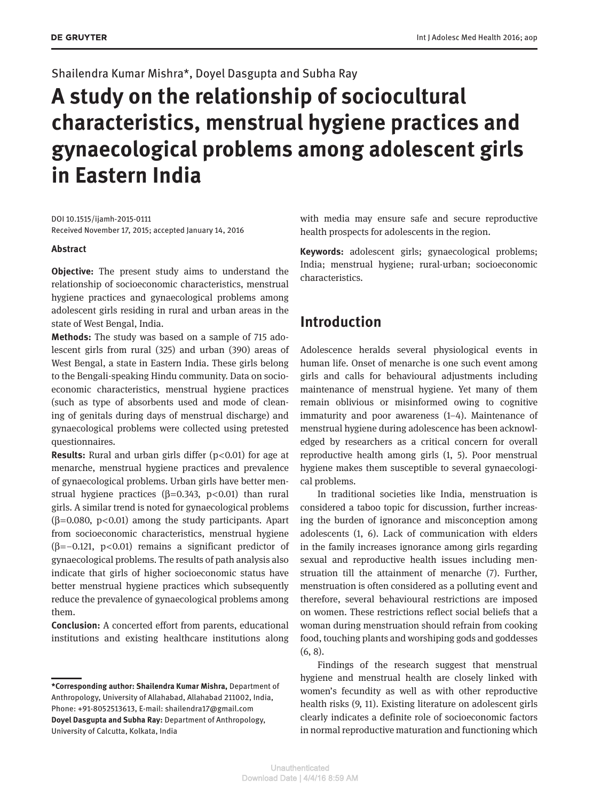### Shailendra Kumar Mishra\*, Doyel Dasgupta and Subha Ray

# **A study on the relationship of sociocultural characteristics, menstrual hygiene practices and gynaecological problems among adolescent girls in Eastern India**

DOI 10.1515/ijamh-2015-0111 Received November 17, 2015; accepted January 14, 2016

#### **Abstract**

**Objective:** The present study aims to understand the relationship of socioeconomic characteristics, menstrual hygiene practices and gynaecological problems among adolescent girls residing in rural and urban areas in the state of West Bengal, India.

**Methods:** The study was based on a sample of 715 adolescent girls from rural (325) and urban (390) areas of West Bengal, a state in Eastern India. These girls belong to the Bengali-speaking Hindu community. Data on socioeconomic characteristics, menstrual hygiene practices (such as type of absorbents used and mode of cleaning of genitals during days of menstrual discharge) and gynaecological problems were collected using pretested questionnaires.

**Results:** Rural and urban girls differ (p<0.01) for age at menarche, menstrual hygiene practices and prevalence of gynaecological problems. Urban girls have better menstrual hygiene practices ( $\beta$ =0.343, p<0.01) than rural girls. A similar trend is noted for gynaecological problems ( $\beta$ =0.080, p<0.01) among the study participants. Apart from socioeconomic characteristics, menstrual hygiene ( $\beta$ =–0.121, p<0.01) remains a significant predictor of gynaecological problems. The results of path analysis also indicate that girls of higher socioeconomic status have better menstrual hygiene practices which subsequently reduce the prevalence of gynaecological problems among them.

**Conclusion:** A concerted effort from parents, educational institutions and existing healthcare institutions along with media may ensure safe and secure reproductive health prospects for adolescents in the region.

**Keywords:** adolescent girls; gynaecological problems; India; menstrual hygiene; rural-urban; socioeconomic characteristics.

## **Introduction**

Adolescence heralds several physiological events in human life. Onset of menarche is one such event among girls and calls for behavioural adjustments including maintenance of menstrual hygiene. Yet many of them remain oblivious or misinformed owing to cognitive immaturity and poor awareness (1–4). Maintenance of menstrual hygiene during adolescence has been acknowledged by researchers as a critical concern for overall reproductive health among girls (1, 5). Poor menstrual hygiene makes them susceptible to several gynaecological problems.

In traditional societies like India, menstruation is considered a taboo topic for discussion, further increasing the burden of ignorance and misconception among adolescents (1, 6). Lack of communication with elders in the family increases ignorance among girls regarding sexual and reproductive health issues including menstruation till the attainment of menarche (7). Further, menstruation is often considered as a polluting event and therefore, several behavioural restrictions are imposed on women. These restrictions reflect social beliefs that a woman during menstruation should refrain from cooking food, touching plants and worshiping gods and goddesses (6, 8).

Findings of the research suggest that menstrual hygiene and menstrual health are closely linked with women's fecundity as well as with other reproductive health risks (9, 11). Existing literature on adolescent girls clearly indicates a definite role of socioeconomic factors in normal reproductive maturation and functioning which

**<sup>\*</sup>Corresponding author: Shailendra Kumar Mishra,** Department of Anthropology, University of Allahabad, Allahabad 211002, India, Phone: +91-8052513613, E-mail: shailendra17@gmail.com **Doyel Dasgupta and Subha Ray:** Department of Anthropology, University of Calcutta, Kolkata, India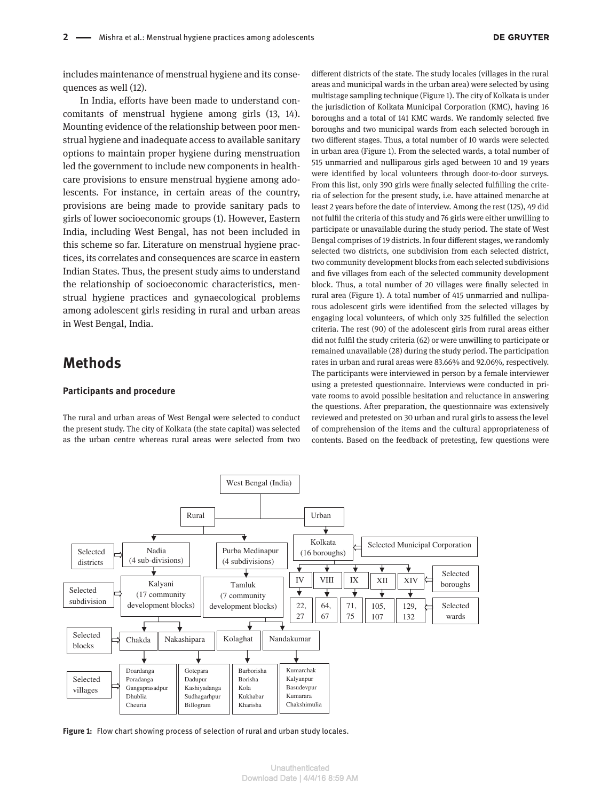includes maintenance of menstrual hygiene and its consequences as well (12).

In India, efforts have been made to understand concomitants of menstrual hygiene among girls (13, 14). Mounting evidence of the relationship between poor menstrual hygiene and inadequate access to available sanitary options to maintain proper hygiene during menstruation led the government to include new components in healthcare provisions to ensure menstrual hygiene among adolescents. For instance, in certain areas of the country, provisions are being made to provide sanitary pads to girls of lower socioeconomic groups (1). However, Eastern India, including West Bengal, has not been included in this scheme so far. Literature on menstrual hygiene practices, its correlates and consequences are scarce in eastern Indian States. Thus, the present study aims to understand the relationship of socioeconomic characteristics, menstrual hygiene practices and gynaecological problems among adolescent girls residing in rural and urban areas in West Bengal, India.

### **Methods**

#### **Participants and procedure**

The rural and urban areas of West Bengal were selected to conduct the present study. The city of Kolkata (the state capital) was selected as the urban centre whereas rural areas were selected from two

different districts of the state. The study locales (villages in the rural areas and municipal wards in the urban area) were selected by using multistage sampling technique (Figure 1). The city of Kolkata is under the jurisdiction of Kolkata Municipal Corporation (KMC), having 16 boroughs and a total of 141 KMC wards. We randomly selected five boroughs and two municipal wards from each selected borough in two different stages. Thus, a total number of 10 wards were selected in urban area (Figure 1). From the selected wards, a total number of 515 unmarried and nulliparous girls aged between 10 and 19 years were identified by local volunteers through door-to-door surveys. From this list, only 390 girls were finally selected fulfilling the criteria of selection for the present study, i.e. have attained menarche at least 2 years before the date of interview. Among the rest (125), 49 did not fulfil the criteria of this study and 76 girls were either unwilling to participate or unavailable during the study period. The state of West Bengal comprises of 19 districts. In four different stages, we randomly selected two districts, one subdivision from each selected district, two community development blocks from each selected subdivisions and five villages from each of the selected community development block. Thus, a total number of 20 villages were finally selected in rural area (Figure 1). A total number of 415 unmarried and nulliparous adolescent girls were identified from the selected villages by engaging local volunteers, of which only 325 fulfilled the selection criteria. The rest (90) of the adolescent girls from rural areas either did not fulfil the study criteria (62) or were unwilling to participate or remained unavailable (28) during the study period. The participation rates in urban and rural areas were 83.66% and 92.06%, respectively. The participants were interviewed in person by a female interviewer using a pretested questionnaire. Interviews were conducted in private rooms to avoid possible hesitation and reluctance in answering the questions. After preparation, the questionnaire was extensively reviewed and pretested on 30 urban and rural girls to assess the level of comprehension of the items and the cultural appropriateness of contents. Based on the feedback of pretesting, few questions were



**Figure 1:** Flow chart showing process of selection of rural and urban study locales.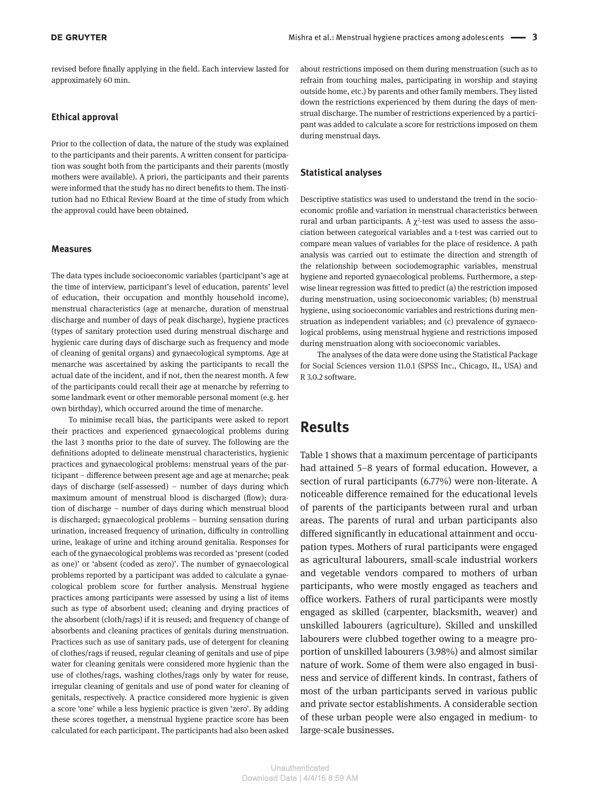revised before finally applying in the field. Each interview lasted for approximately 60 min.

#### **Ethical approval**

Prior to the collection of data, the nature of the study was explained to the participants and their parents. A written consent for participation was sought both from the participants and their parents (mostly mothers were available). A priori, the participants and their parents were informed that the study has no direct benefits to them. The institution had no Ethical Review Board at the time of study from which the approval could have been obtained.

#### **Measures**

The data types include socioeconomic variables (participant's age at the time of interview, participant's level of education, parents' level of education, their occupation and monthly household income), menstrual characteristics (age at menarche, duration of menstrual discharge and number of days of peak discharge), hygiene practices (types of sanitary protection used during menstrual discharge and hygienic care during days of discharge such as frequency and mode of cleaning of genital organs) and gynaecological symptoms. Age at menarche was ascertained by asking the participants to recall the actual date of the incident, and if not, then the nearest month. A few of the participants could recall their age at menarche by referring to some landmark event or other memorable personal moment (e.g. her own birthday), which occurred around the time of menarche.

To minimise recall bias, the participants were asked to report their practices and experienced gynaecological problems during the last 3 months prior to the date of survey. The following are the definitions adopted to delineate menstrual characteristics, hygienic practices and gynaecological problems: menstrual years of the participant – difference between present age and age at menarche; peak days of discharge (self-assessed) – number of days during which maximum amount of menstrual blood is discharged (flow); duration of discharge – number of days during which menstrual blood is discharged; gynaecological problems – burning sensation during urination, increased frequency of urination, difficulty in controlling urine, leakage of urine and itching around genitalia. Responses for each of the gynaecological problems was recorded as 'present (coded as one)' or 'absent (coded as zero)'. The number of gynaecological problems reported by a participant was added to calculate a gynaecological problem score for further analysis. Menstrual hygiene practices among participants were assessed by using a list of items such as type of absorbent used; cleaning and drying practices of the absorbent (cloth/rags) if it is reused; and frequency of change of absorbents and cleaning practices of genitals during menstruation. Practices such as use of sanitary pads, use of detergent for cleaning of clothes/rags if reused, regular cleaning of genitals and use of pipe water for cleaning genitals were considered more hygienic than the use of clothes/rags, washing clothes/rags only by water for reuse, irregular cleaning of genitals and use of pond water for cleaning of genitals, respectively. A practice considered more hygienic is given a score 'one' while a less hygienic practice is given 'zero'. By adding these scores together, a menstrual hygiene practice score has been calculated for each participant. The participants had also been asked about restrictions imposed on them during menstruation (such as to refrain from touching males, participating in worship and staying outside home, etc.) by parents and other family members. They listed down the restrictions experienced by them during the days of menstrual discharge. The number of restrictions experienced by a participant was added to calculate a score for restrictions imposed on them during menstrual days.

#### **Statistical analyses**

Descriptive statistics was used to understand the trend in the socioeconomic profile and variation in menstrual characteristics between rural and urban participants. A  $\chi^2$ -test was used to assess the association between categorical variables and a t-test was carried out to compare mean values of variables for the place of residence. A path analysis was carried out to estimate the direction and strength of the relationship between sociodemographic variables, menstrual hygiene and reported gynaecological problems. Furthermore, a stepwise linear regression was fitted to predict (a) the restriction imposed during menstruation, using socioeconomic variables; (b) menstrual hygiene, using socioeconomic variables and restrictions during menstruation as independent variables; and (c) prevalence of gynaecological problems, using menstrual hygiene and restrictions imposed during menstruation along with socioeconomic variables.

The analyses of the data were done using the Statistical Package for Social Sciences version 11.0.1 (SPSS Inc., Chicago, IL, USA) and R 3.0.2 software.

### **Results**

Table 1 shows that a maximum percentage of participants had attained 5–8 years of formal education. However, a section of rural participants (6.77%) were non-literate. A noticeable difference remained for the educational levels of parents of the participants between rural and urban areas. The parents of rural and urban participants also differed significantly in educational attainment and occupation types. Mothers of rural participants were engaged as agricultural labourers, small-scale industrial workers and vegetable vendors compared to mothers of urban participants, who were mostly engaged as teachers and office workers. Fathers of rural participants were mostly engaged as skilled (carpenter, blacksmith, weaver) and unskilled labourers (agriculture). Skilled and unskilled labourers were clubbed together owing to a meagre proportion of unskilled labourers (3.98%) and almost similar nature of work. Some of them were also engaged in business and service of different kinds. In contrast, fathers of most of the urban participants served in various public and private sector establishments. A considerable section of these urban people were also engaged in medium- to large-scale businesses.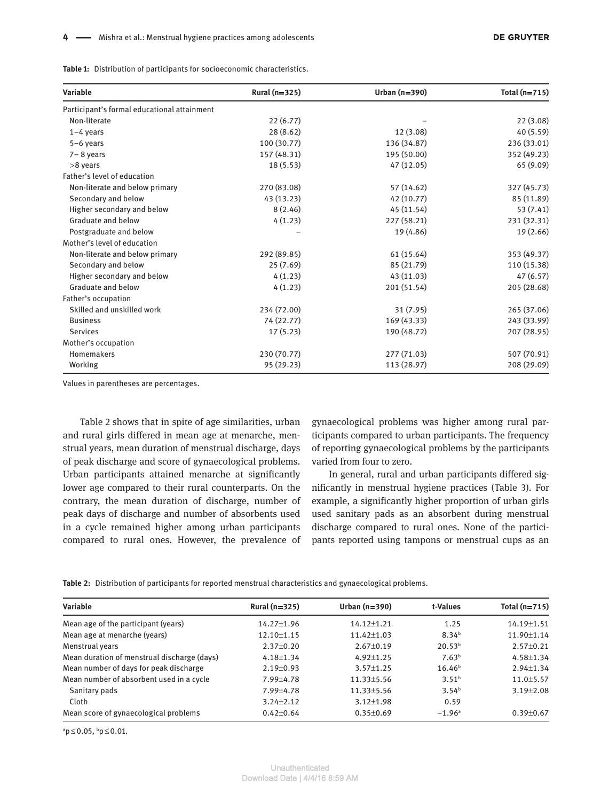**Table 1:** Distribution of participants for socioeconomic characteristics.

| Variable                                    | Rural (n=325) | Urban $(n=390)$ | Total (n=715) |  |
|---------------------------------------------|---------------|-----------------|---------------|--|
| Participant's formal educational attainment |               |                 |               |  |
| Non-literate                                | 22(6.77)      |                 | 22 (3.08)     |  |
| $1-4$ years                                 | 28 (8.62)     | 12(3.08)        | 40 (5.59)     |  |
| 5-6 years                                   | 100 (30.77)   | 136 (34.87)     | 236 (33.01)   |  |
| $7 - 8$ years                               | 157 (48.31)   | 195 (50.00)     | 352 (49.23)   |  |
| >8 years                                    | 18(5.53)      | 47 (12.05)      | 65 (9.09)     |  |
| Father's level of education                 |               |                 |               |  |
| Non-literate and below primary              | 270 (83.08)   | 57 (14.62)      | 327 (45.73)   |  |
| Secondary and below                         | 43 (13.23)    | 42 (10.77)      | 85 (11.89)    |  |
| Higher secondary and below                  | 8(2.46)       | 45 (11.54)      | 53 (7.41)     |  |
| Graduate and below                          | 4(1.23)       | 227 (58.21)     | 231 (32.31)   |  |
| Postgraduate and below                      |               | 19 (4.86)       | 19 (2.66)     |  |
| Mother's level of education                 |               |                 |               |  |
| Non-literate and below primary              | 292 (89.85)   | 61 (15.64)      | 353 (49.37)   |  |
| Secondary and below                         | 25(7.69)      | 85 (21.79)      | 110 (15.38)   |  |
| Higher secondary and below                  | 4(1.23)       | 43 (11.03)      | 47 (6.57)     |  |
| Graduate and below                          | 4(1.23)       | 201 (51.54)     | 205 (28.68)   |  |
| Father's occupation                         |               |                 |               |  |
| Skilled and unskilled work                  | 234 (72.00)   | 31(7.95)        | 265 (37.06)   |  |
| <b>Business</b>                             | 74 (22.77)    | 169 (43.33)     | 243 (33.99)   |  |
| <b>Services</b>                             | 17(5.23)      | 190 (48.72)     | 207 (28.95)   |  |
| Mother's occupation                         |               |                 |               |  |
| Homemakers                                  | 230 (70.77)   | 277 (71.03)     | 507 (70.91)   |  |
| Working                                     | 95 (29.23)    | 113 (28.97)     | 208 (29.09)   |  |

Values in parentheses are percentages.

Table 2 shows that in spite of age similarities, urban and rural girls differed in mean age at menarche, menstrual years, mean duration of menstrual discharge, days of peak discharge and score of gynaecological problems. Urban participants attained menarche at significantly lower age compared to their rural counterparts. On the contrary, the mean duration of discharge, number of peak days of discharge and number of absorbents used in a cycle remained higher among urban participants compared to rural ones. However, the prevalence of gynaecological problems was higher among rural participants compared to urban participants. The frequency of reporting gynaecological problems by the participants varied from four to zero.

In general, rural and urban participants differed significantly in menstrual hygiene practices (Table 3). For example, a significantly higher proportion of urban girls used sanitary pads as an absorbent during menstrual discharge compared to rural ones. None of the participants reported using tampons or menstrual cups as an

**Table 2:** Distribution of participants for reported menstrual characteristics and gynaecological problems.

| Rural $(n=325)$  | Urban $(n=390)$  | t-Values             | Total $(n=715)$  |
|------------------|------------------|----------------------|------------------|
| $14.27 \pm 1.96$ | $14.12 + 1.21$   | 1.25                 | $14.19 \pm 1.51$ |
| $12.10 \pm 1.15$ | $11.42 \pm 1.03$ | 8.34 <sup>b</sup>    | 11.90±1.14       |
| $2.37 \pm 0.20$  | $2.67 \pm 0.19$  | 20.53 <sup>b</sup>   | $2.57 \pm 0.21$  |
| $4.18 \pm 1.34$  | $4.92 \pm 1.25$  | 7.63 <sup>b</sup>    | 4.58±1.34        |
| $2.19 \pm 0.93$  | $3.57 \pm 1.25$  | 16.46 <sup>b</sup>   | $2.94 \pm 1.34$  |
| 7.99±4.78        | $11.33 \pm 5.56$ | 3.51 <sup>b</sup>    | $11.0 \pm 5.57$  |
| 7.99±4.78        | $11.33 \pm 5.56$ | 3.54 <sup>b</sup>    | $3.19 \pm 2.08$  |
| $3.24 \pm 2.12$  | $3.12 \pm 1.98$  | 0.59                 |                  |
| $0.42 + 0.64$    | $0.35 \pm 0.69$  | $-1.96$ <sup>a</sup> | $0.39 \pm 0.67$  |
|                  |                  |                      |                  |

<sup>a</sup> $p$  ≤ 0.05, <sup>b</sup> $p$  ≤ 0.01.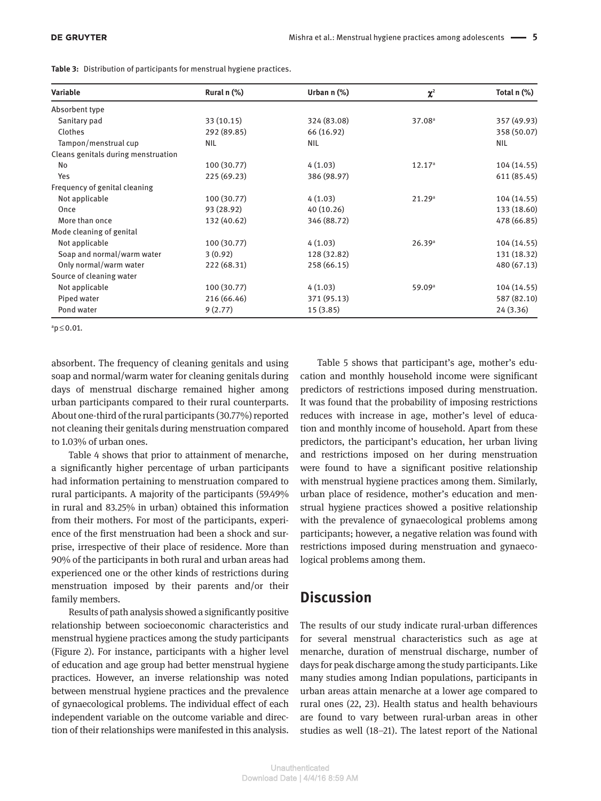| Variable                            | Rural n (%) | Urban $n$ $%$ | $\chi^2$           | Total n (%) |
|-------------------------------------|-------------|---------------|--------------------|-------------|
| Absorbent type                      |             |               |                    |             |
| Sanitary pad                        | 33(10.15)   | 324 (83.08)   | 37.08 <sup>a</sup> | 357 (49.93) |
| Clothes                             | 292 (89.85) | 66 (16.92)    |                    | 358 (50.07) |
| Tampon/menstrual cup                | <b>NIL</b>  | NIL.          |                    | <b>NIL</b>  |
| Cleans genitals during menstruation |             |               |                    |             |
| No                                  | 100 (30.77) | 4(1.03)       | 12.17 <sup>a</sup> | 104 (14.55) |
| Yes                                 | 225 (69.23) | 386 (98.97)   |                    | 611 (85.45) |
| Frequency of genital cleaning       |             |               |                    |             |
| Not applicable                      | 100 (30.77) | 4(1.03)       | 21.29a             | 104 (14.55) |
| Once                                | 93 (28.92)  | 40 (10.26)    |                    | 133 (18.60) |
| More than once                      | 132 (40.62) | 346 (88.72)   |                    | 478 (66.85) |
| Mode cleaning of genital            |             |               |                    |             |
| Not applicable                      | 100 (30.77) | 4(1.03)       | 26.39a             | 104 (14.55) |
| Soap and normal/warm water          | 3(0.92)     | 128 (32.82)   |                    | 131 (18.32) |
| Only normal/warm water              | 222 (68.31) | 258 (66.15)   |                    | 480 (67.13) |
| Source of cleaning water            |             |               |                    |             |
| Not applicable                      | 100 (30.77) | 4(1.03)       | 59.09 <sup>a</sup> | 104 (14.55) |
| Piped water                         | 216 (66.46) | 371 (95.13)   |                    | 587 (82.10) |
| Pond water                          | 9(2.77)     | 15(3.85)      |                    | 24(3.36)    |

**Table 3:** Distribution of participants for menstrual hygiene practices.

 $a$ <sub>p</sub> $\leq$ 0.01.

absorbent. The frequency of cleaning genitals and using soap and normal/warm water for cleaning genitals during days of menstrual discharge remained higher among urban participants compared to their rural counterparts. About one-third of the rural participants (30.77%) reported not cleaning their genitals during menstruation compared to 1.03% of urban ones.

Table 4 shows that prior to attainment of menarche, a significantly higher percentage of urban participants had information pertaining to menstruation compared to rural participants. A majority of the participants (59.49% in rural and 83.25% in urban) obtained this information from their mothers. For most of the participants, experience of the first menstruation had been a shock and surprise, irrespective of their place of residence. More than 90% of the participants in both rural and urban areas had experienced one or the other kinds of restrictions during menstruation imposed by their parents and/or their family members.

Results of path analysis showed a significantly positive relationship between socioeconomic characteristics and menstrual hygiene practices among the study participants (Figure 2). For instance, participants with a higher level of education and age group had better menstrual hygiene practices. However, an inverse relationship was noted between menstrual hygiene practices and the prevalence of gynaecological problems. The individual effect of each independent variable on the outcome variable and direction of their relationships were manifested in this analysis.

Table 5 shows that participant's age, mother's education and monthly household income were significant predictors of restrictions imposed during menstruation. It was found that the probability of imposing restrictions reduces with increase in age, mother's level of education and monthly income of household. Apart from these predictors, the participant's education, her urban living and restrictions imposed on her during menstruation were found to have a significant positive relationship with menstrual hygiene practices among them. Similarly, urban place of residence, mother's education and menstrual hygiene practices showed a positive relationship with the prevalence of gynaecological problems among participants; however, a negative relation was found with restrictions imposed during menstruation and gynaecological problems among them.

### **Discussion**

The results of our study indicate rural-urban differences for several menstrual characteristics such as age at menarche, duration of menstrual discharge, number of days for peak discharge among the study participants. Like many studies among Indian populations, participants in urban areas attain menarche at a lower age compared to rural ones (22, 23). Health status and health behaviours are found to vary between rural-urban areas in other studies as well (18–21). The latest report of the National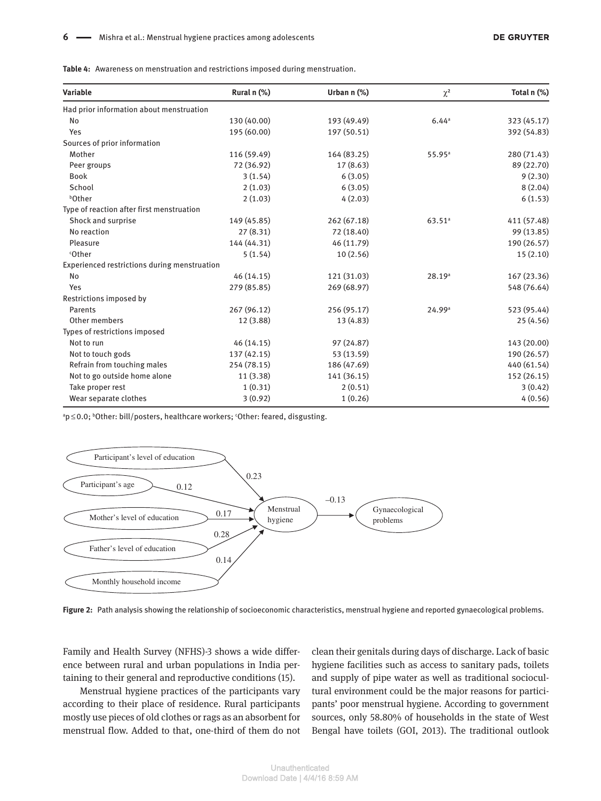**Table 4:** Awareness on menstruation and restrictions imposed during menstruation.

| Variable                                     | Rural n (%) | Urban $n$ (%) | $\chi^2$             | Total n (%) |
|----------------------------------------------|-------------|---------------|----------------------|-------------|
| Had prior information about menstruation     |             |               |                      |             |
| No                                           | 130 (40.00) | 193 (49.49)   | 6.44a                | 323 (45.17) |
| Yes                                          | 195 (60.00) | 197 (50.51)   |                      | 392 (54.83) |
| Sources of prior information                 |             |               |                      |             |
| Mother                                       | 116 (59.49) | 164 (83.25)   | 55.95a               | 280 (71.43) |
| Peer groups                                  | 72 (36.92)  | 17(8.63)      |                      | 89 (22.70)  |
| <b>Book</b>                                  | 3(1.54)     | 6(3.05)       |                      | 9(2.30)     |
| School                                       | 2(1.03)     | 6(3.05)       |                      | 8(2.04)     |
| <b>bOther</b>                                | 2(1.03)     | 4(2.03)       |                      | 6(1.53)     |
| Type of reaction after first menstruation    |             |               |                      |             |
| Shock and surprise                           | 149 (45.85) | 262 (67.18)   | $63.51$ <sup>a</sup> | 411 (57.48) |
| No reaction                                  | 27(8.31)    | 72 (18.40)    |                      | 99 (13.85)  |
| Pleasure                                     | 144 (44.31) | 46 (11.79)    |                      | 190 (26.57) |
| <sup>c</sup> Other                           | 5(1.54)     | 10(2.56)      |                      | 15(2.10)    |
| Experienced restrictions during menstruation |             |               |                      |             |
| No                                           | 46 (14.15)  | 121 (31.03)   | 28.19a               | 167 (23.36) |
| Yes                                          | 279 (85.85) | 269 (68.97)   |                      | 548 (76.64) |
| Restrictions imposed by                      |             |               |                      |             |
| Parents                                      | 267 (96.12) | 256 (95.17)   | 24.99a               | 523 (95.44) |
| Other members                                | 12 (3.88)   | 13 (4.83)     |                      | 25 (4.56)   |
| Types of restrictions imposed                |             |               |                      |             |
| Not to run                                   | 46 (14.15)  | 97 (24.87)    |                      | 143 (20.00) |
| Not to touch gods                            | 137 (42.15) | 53 (13.59)    |                      | 190 (26.57) |
| Refrain from touching males                  | 254 (78.15) | 186 (47.69)   |                      | 440 (61.54) |
| Not to go outside home alone                 | 11(3.38)    | 141 (36.15)   |                      | 152 (26.15) |
| Take proper rest                             | 1(0.31)     | 2(0.51)       |                      | 3(0.42)     |
| Wear separate clothes                        | 3(0.92)     | 1(0.26)       |                      | 4(0.56)     |

ap ≤0.0; bother: bill/posters, healthcare workers; <sup>c</sup>Other: feared, disgusting.



**Figure 2:** Path analysis showing the relationship of socioeconomic characteristics, menstrual hygiene and reported gynaecological problems.

Family and Health Survey (NFHS)-3 shows a wide difference between rural and urban populations in India pertaining to their general and reproductive conditions (15).

Menstrual hygiene practices of the participants vary according to their place of residence. Rural participants mostly use pieces of old clothes or rags as an absorbent for menstrual flow. Added to that, one-third of them do not clean their genitals during days of discharge. Lack of basic hygiene facilities such as access to sanitary pads, toilets and supply of pipe water as well as traditional sociocultural environment could be the major reasons for participants' poor menstrual hygiene. According to government sources, only 58.80% of households in the state of West Bengal have toilets (GOI, 2013). The traditional outlook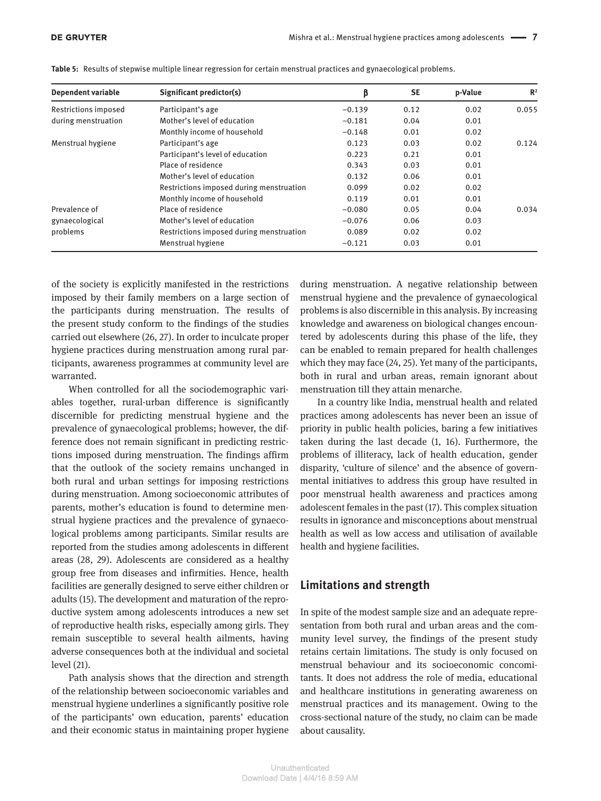| Dependent variable          | Significant predictor(s)                 | β        | <b>SE</b> | p-Value | $\mathbb{R}^2$ |
|-----------------------------|------------------------------------------|----------|-----------|---------|----------------|
| <b>Restrictions imposed</b> | Participant's age                        | $-0.139$ | 0.12      | 0.02    | 0.055          |
| during menstruation         | Mother's level of education              | $-0.181$ | 0.04      | 0.01    |                |
|                             | Monthly income of household              | $-0.148$ | 0.01      | 0.02    |                |
| Menstrual hygiene           | Participant's age                        | 0.123    | 0.03      | 0.02    | 0.124          |
|                             | Participant's level of education         | 0.223    | 0.21      | 0.01    |                |
|                             | Place of residence                       | 0.343    | 0.03      | 0.01    |                |
|                             | Mother's level of education              | 0.132    | 0.06      | 0.01    |                |
|                             | Restrictions imposed during menstruation | 0.099    | 0.02      | 0.02    |                |
|                             | Monthly income of household              | 0.119    | 0.01      | 0.01    |                |
| Prevalence of               | Place of residence                       | $-0.080$ | 0.05      | 0.04    | 0.034          |
| gynaecological              | Mother's level of education              | $-0.076$ | 0.06      | 0.03    |                |
| problems                    | Restrictions imposed during menstruation | 0.089    | 0.02      | 0.02    |                |
|                             | Menstrual hygiene                        | $-0.121$ | 0.03      | 0.01    |                |

**Table 5:** Results of stepwise multiple linear regression for certain menstrual practices and gynaecological problems.

of the society is explicitly manifested in the restrictions imposed by their family members on a large section of the participants during menstruation. The results of the present study conform to the findings of the studies carried out elsewhere (26, 27). In order to inculcate proper hygiene practices during menstruation among rural participants, awareness programmes at community level are warranted.

When controlled for all the sociodemographic variables together, rural-urban difference is significantly discernible for predicting menstrual hygiene and the prevalence of gynaecological problems; however, the difference does not remain significant in predicting restrictions imposed during menstruation. The findings affirm that the outlook of the society remains unchanged in both rural and urban settings for imposing restrictions during menstruation. Among socioeconomic attributes of parents, mother's education is found to determine menstrual hygiene practices and the prevalence of gynaecological problems among participants. Similar results are reported from the studies among adolescents in different areas (28, 29). Adolescents are considered as a healthy group free from diseases and infirmities. Hence, health facilities are generally designed to serve either children or adults (15). The development and maturation of the reproductive system among adolescents introduces a new set of reproductive health risks, especially among girls. They remain susceptible to several health ailments, having adverse consequences both at the individual and societal level (21).

Path analysis shows that the direction and strength of the relationship between socioeconomic variables and menstrual hygiene underlines a significantly positive role of the participants' own education, parents' education and their economic status in maintaining proper hygiene during menstruation. A negative relationship between menstrual hygiene and the prevalence of gynaecological problems is also discernible in this analysis. By increasing knowledge and awareness on biological changes encountered by adolescents during this phase of the life, they can be enabled to remain prepared for health challenges which they may face (24, 25). Yet many of the participants, both in rural and urban areas, remain ignorant about menstruation till they attain menarche.

In a country like India, menstrual health and related practices among adolescents has never been an issue of priority in public health policies, baring a few initiatives taken during the last decade (1, 16). Furthermore, the problems of illiteracy, lack of health education, gender disparity, 'culture of silence' and the absence of governmental initiatives to address this group have resulted in poor menstrual health awareness and practices among adolescent females in the past (17). This complex situation results in ignorance and misconceptions about menstrual health as well as low access and utilisation of available health and hygiene facilities.

### **Limitations and strength**

In spite of the modest sample size and an adequate representation from both rural and urban areas and the community level survey, the findings of the present study retains certain limitations. The study is only focused on menstrual behaviour and its socioeconomic concomitants. It does not address the role of media, educational and healthcare institutions in generating awareness on menstrual practices and its management. Owing to the cross-sectional nature of the study, no claim can be made about causality.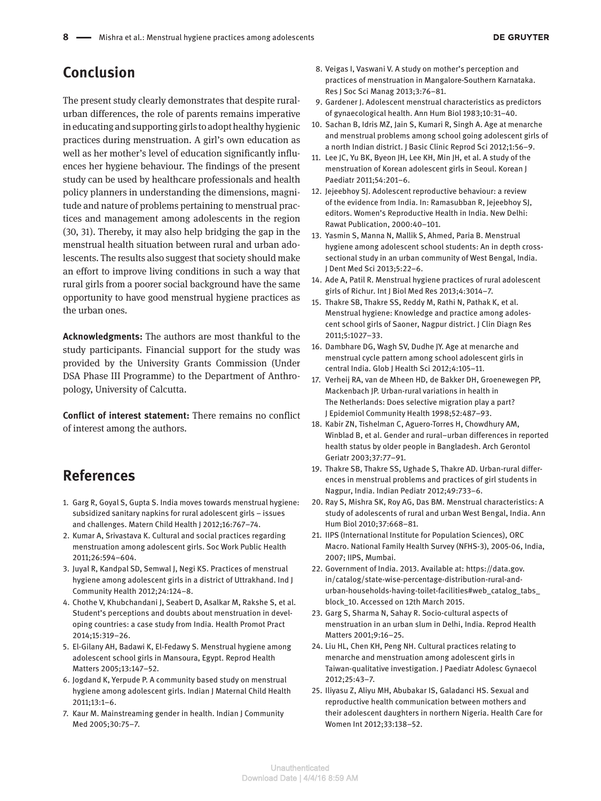# **Conclusion**

The present study clearly demonstrates that despite ruralurban differences, the role of parents remains imperative in educating and supporting girls to adopt healthy hygienic practices during menstruation. A girl's own education as well as her mother's level of education significantly influences her hygiene behaviour. The findings of the present study can be used by healthcare professionals and health policy planners in understanding the dimensions, magnitude and nature of problems pertaining to menstrual practices and management among adolescents in the region (30, 31). Thereby, it may also help bridging the gap in the menstrual health situation between rural and urban adolescents. The results also suggest that society should make an effort to improve living conditions in such a way that rural girls from a poorer social background have the same opportunity to have good menstrual hygiene practices as the urban ones.

**Acknowledgments:** The authors are most thankful to the study participants. Financial support for the study was provided by the University Grants Commission (Under DSA Phase III Programme) to the Department of Anthropology, University of Calcutta.

**Conflict of interest statement:** There remains no conflict of interest among the authors.

# **References**

- 1. Garg R, Goyal S, Gupta S. India moves towards menstrual hygiene: subsidized sanitary napkins for rural adolescent girls – issues and challenges. Matern Child Health J 2012;16:767–74.
- 2. Kumar A, Srivastava K. Cultural and social practices regarding menstruation among adolescent girls. Soc Work Public Health 2011;26:594–604.
- 3. Juyal R, Kandpal SD, Semwal J, Negi KS. Practices of menstrual hygiene among adolescent girls in a district of Uttrakhand. Ind J Community Health 2012;24:124–8.
- 4. Chothe V, Khubchandani J, Seabert D, Asalkar M, Rakshe S, et al. Student's perceptions and doubts about menstruation in developing countries: a case study from India. Health Promot Pract 2014;15:319–26.
- 5. El-Gilany AH, Badawi K, El-Fedawy S. Menstrual hygiene among adolescent school girls in Mansoura, Egypt. Reprod Health Matters 2005;13:147–52.
- 6. Jogdand K, Yerpude P. A community based study on menstrual hygiene among adolescent girls. Indian J Maternal Child Health 2011;13:1–6.
- 7. Kaur M. Mainstreaming gender in health. Indian J Community Med 2005;30:75–7.
- 8. Veigas I, Vaswani V. A study on mother's perception and practices of menstruation in Mangalore-Southern Karnataka. Res J Soc Sci Manag 2013;3:76–81.
- 9. Gardener J. Adolescent menstrual characteristics as predictors of gynaecological health. Ann Hum Biol 1983;10:31–40.
- 10. Sachan B, Idris MZ, Jain S, Kumari R, Singh A. Age at menarche and menstrual problems among school going adolescent girls of a north Indian district. J Basic Clinic Reprod Sci 2012;1:56–9.
- 11. Lee JC, Yu BK, Byeon JH, Lee KH, Min JH, et al. A study of the menstruation of Korean adolescent girls in Seoul. Korean J Paediatr 2011;54:201–6.
- 12. Jejeebhoy SJ. Adolescent reproductive behaviour: a review of the evidence from India. In: Ramasubban R, Jejeebhoy SJ, editors. Women's Reproductive Health in India. New Delhi: Rawat Publication, 2000:40–101.
- 13. Yasmin S, Manna N, Mallik S, Ahmed, Paria B. Menstrual hygiene among adolescent school students: An in depth crosssectional study in an urban community of West Bengal, India. J Dent Med Sci 2013;5:22–6.
- 14. Ade A, Patil R. Menstrual hygiene practices of rural adolescent girls of Richur. Int J Biol Med Res 2013;4:3014–7.
- 15. Thakre SB, Thakre SS, Reddy M, Rathi N, Pathak K, et al. Menstrual hygiene: Knowledge and practice among adolescent school girls of Saoner, Nagpur district. J Clin Diagn Res 2011;5:1027–33.
- 16. Dambhare DG, Wagh SV, Dudhe JY. Age at menarche and menstrual cycle pattern among school adolescent girls in central India. Glob J Health Sci 2012;4:105–11.
- 17. Verheij RA, van de Mheen HD, de Bakker DH, Groenewegen PP, Mackenbach JP. Urban-rural variations in health in The Netherlands: Does selective migration play a part? J Epidemiol Community Health 1998;52:487–93.
- 18. Kabir ZN, Tishelman C, Aguero-Torres H, Chowdhury AM, Winblad B, et al. Gender and rural–urban differences in reported health status by older people in Bangladesh. Arch Gerontol Geriatr 2003;37:77–91.
- 19. Thakre SB, Thakre SS, Ughade S, Thakre AD. Urban-rural differences in menstrual problems and practices of girl students in Nagpur, India. Indian Pediatr 2012;49:733–6.
- 20. Ray S, Mishra SK, Roy AG, Das BM. Menstrual characteristics: A study of adolescents of rural and urban West Bengal, India. Ann Hum Biol 2010;37:668–81.
- 21. IIPS (International Institute for Population Sciences), ORC Macro. National Family Health Survey (NFHS-3), 2005-06, India, 2007; IIPS, Mumbai.
- 22. Government of India. 2013. Available at: https://data.gov. in/catalog/state-wise-percentage-distribution-rural-andurban-households-having-toilet-facilities#web\_catalog\_tabs\_ block\_10. Accessed on 12th March 2015.
- 23. Garg S, Sharma N, Sahay R. Socio-cultural aspects of menstruation in an urban slum in Delhi, India. Reprod Health Matters 2001;9:16–25.
- 24. Liu HL, Chen KH, Peng NH. Cultural practices relating to menarche and menstruation among adolescent girls in Taiwan-qualitative investigation. J Paediatr Adolesc Gynaecol 2012;25:43–7.
- 25. Iliyasu Z, Aliyu MH, Abubakar IS, Galadanci HS. Sexual and reproductive health communication between mothers and their adolescent daughters in northern Nigeria. Health Care for Women Int 2012;33:138–52.